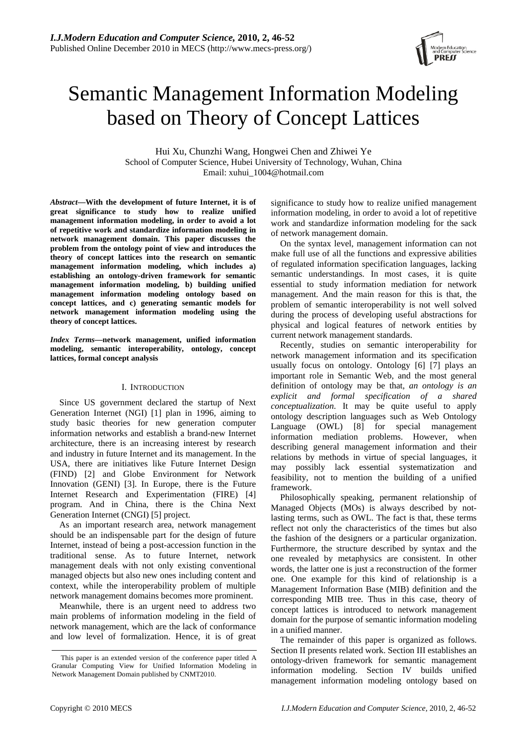# Semantic Management Information Modeling based on Theory of Concept Lattices

Hui Xu, Chunzhi Wang, Hongwei Chen and Zhiwei Ye School of Computer Science, Hubei University of Technology, Wuhan, China Email: xuhui\_1004@hotmail.com

*Abstract***—With the development of future Internet, it is of great significance to study how to realize unified management information modeling, in order to avoid a lot of repetitive work and standardize information modeling in network management domain. This paper discusses the problem from the ontology point of view and introduces the theory of concept lattices into the research on semantic management information modeling, which includes a) establishing an ontology-driven framework for semantic management information modeling, b) building unified management information modeling ontology based on concept lattices, and c) generating semantic models for network management information modeling using the theory of concept lattices.** 

*Index Terms***—network management, unified information modeling, semantic interoperability, ontology, concept lattices, formal concept analysis** 

#### I. INTRODUCTION

Since US government declared the startup of Next Generation Internet (NGI) [1] plan in 1996, aiming to study basic theories for new generation computer information networks and establish a brand-new Internet architecture, there is an increasing interest by research and industry in future Internet and its management. In the USA, there are initiatives like Future Internet Design (FIND) [2] and Globe Environment for Network Innovation (GENI) [3]. In Europe, there is the Future Internet Research and Experimentation (FIRE) [4] program. And in China, there is the China Next Generation Internet (CNGI) [5] project.

As an important research area, network management should be an indispensable part for the design of future Internet, instead of being a post-accession function in the traditional sense. As to future Internet, network management deals with not only existing conventional managed objects but also new ones including content and context, while the interoperability problem of multiple network management domains becomes more prominent.

Meanwhile, there is an urgent need to address two main problems of information modeling in the field of network management, which are the lack of conformance and low level of formalization. Hence, it is of great significance to study how to realize unified management information modeling, in order to avoid a lot of repetitive work and standardize information modeling for the sack of network management domain.

On the syntax level, management information can not make full use of all the functions and expressive abilities of regulated information specification languages, lacking semantic understandings. In most cases, it is quite essential to study information mediation for network management. And the main reason for this is that, the problem of semantic interoperability is not well solved during the process of developing useful abstractions for physical and logical features of network entities by current network management standards.

Recently, studies on semantic interoperability for network management information and its specification usually focus on ontology. Ontology [6] [7] plays an important role in Semantic Web, and the most general definition of ontology may be that, *an ontology is an explicit and formal specification of a shared conceptualization*. It may be quite useful to apply ontology description languages such as Web Ontology Language (OWL) [8] for special management information mediation problems. However, when describing general management information and their relations by methods in virtue of special languages, it may possibly lack essential systematization and feasibility, not to mention the building of a unified framework.

Philosophically speaking, permanent relationship of Managed Objects (MOs) is always described by notlasting terms, such as OWL. The fact is that, these terms reflect not only the characteristics of the times but also the fashion of the designers or a particular organization. Furthermore, the structure described by syntax and the one revealed by metaphysics are consistent. In other words, the latter one is just a reconstruction of the former one. One example for this kind of relationship is a Management Information Base (MIB) definition and the corresponding MIB tree. Thus in this case, theory of concept lattices is introduced to network management domain for the purpose of semantic information modeling in a unified manner.

The remainder of this paper is organized as follows. Section II presents related work. Section III establishes an ontology-driven framework for semantic management information modeling. Section IV builds unified management information modeling ontology based on



This paper is an extended version of the conference paper titled A Granular Computing View for Unified Information Modeling in Network Management Domain published by CNMT2010.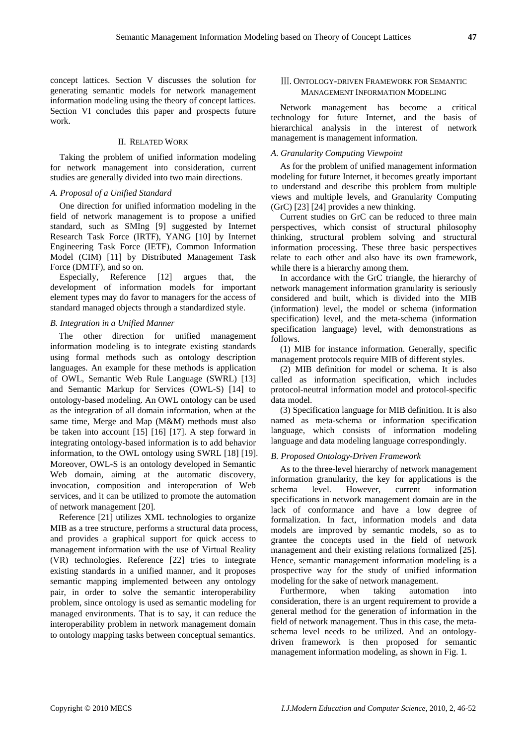concept lattices. Section V discusses the solution for generating semantic models for network management information modeling using the theory of concept lattices. Section VI concludes this paper and prospects future work.

## II. RELATED WORK

Taking the problem of unified information modeling for network management into consideration, current studies are generally divided into two main directions.

#### *A. Proposal of a Unified Standard*

One direction for unified information modeling in the field of network management is to propose a unified standard, such as SMIng [9] suggested by Internet Research Task Force (IRTF), YANG [10] by Internet Engineering Task Force (IETF), Common Information Model (CIM) [11] by Distributed Management Task Force (DMTF), and so on.

Especially, Reference [12] argues that, the development of information models for important element types may do favor to managers for the access of standard managed objects through a standardized style.

#### *B. Integration in a Unified Manner*

The other direction for unified management information modeling is to integrate existing standards using formal methods such as ontology description languages. An example for these methods is application of OWL, Semantic Web Rule Language (SWRL) [13] and Semantic Markup for Services (OWL-S) [14] to ontology-based modeling. An OWL ontology can be used as the integration of all domain information, when at the same time, Merge and Map (M&M) methods must also be taken into account [15] [16] [17]. A step forward in integrating ontology-based information is to add behavior information, to the OWL ontology using SWRL [18] [19]. Moreover, OWL-S is an ontology developed in Semantic Web domain, aiming at the automatic discovery, invocation, composition and interoperation of Web services, and it can be utilized to promote the automation of network management [20].

Reference [21] utilizes XML technologies to organize MIB as a tree structure, performs a structural data process, and provides a graphical support for quick access to management information with the use of Virtual Reality (VR) technologies. Reference [22] tries to integrate existing standards in a unified manner, and it proposes semantic mapping implemented between any ontology pair, in order to solve the semantic interoperability problem, since ontology is used as semantic modeling for managed environments. That is to say, it can reduce the interoperability problem in network management domain to ontology mapping tasks between conceptual semantics.

## Ⅲ. ONTOLOGY-DRIVEN FRAMEWORK FOR SEMANTIC MANAGEMENT INFORMATION MODELING

Network management has become a critical technology for future Internet, and the basis of hierarchical analysis in the interest of network management is management information.

#### *A. Granularity Computing Viewpoint*

As for the problem of unified management information modeling for future Internet, it becomes greatly important to understand and describe this problem from multiple views and multiple levels, and Granularity Computing (GrC) [23] [24] provides a new thinking.

Current studies on GrC can be reduced to three main perspectives, which consist of structural philosophy thinking, structural problem solving and structural information processing. These three basic perspectives relate to each other and also have its own framework, while there is a hierarchy among them.

In accordance with the GrC triangle, the hierarchy of network management information granularity is seriously considered and built, which is divided into the MIB (information) level, the model or schema (information specification) level, and the meta-schema (information specification language) level, with demonstrations as follows.

(1) MIB for instance information. Generally, specific management protocols require MIB of different styles.

(2) MIB definition for model or schema. It is also called as information specification, which includes protocol-neutral information model and protocol-specific data model.

(3) Specification language for MIB definition. It is also named as meta-schema or information specification language, which consists of information modeling language and data modeling language correspondingly.

#### *B. Proposed Ontology-Driven Framework*

As to the three-level hierarchy of network management information granularity, the key for applications is the schema level. However, current information specifications in network management domain are in the lack of conformance and have a low degree of formalization. In fact, information models and data models are improved by semantic models, so as to grantee the concepts used in the field of network management and their existing relations formalized [25]. Hence, semantic management information modeling is a prospective way for the study of unified information modeling for the sake of network management.

Furthermore, when taking automation into consideration, there is an urgent requirement to provide a general method for the generation of information in the field of network management. Thus in this case, the metaschema level needs to be utilized. And an ontologydriven framework is then proposed for semantic management information modeling, as shown in Fig. 1.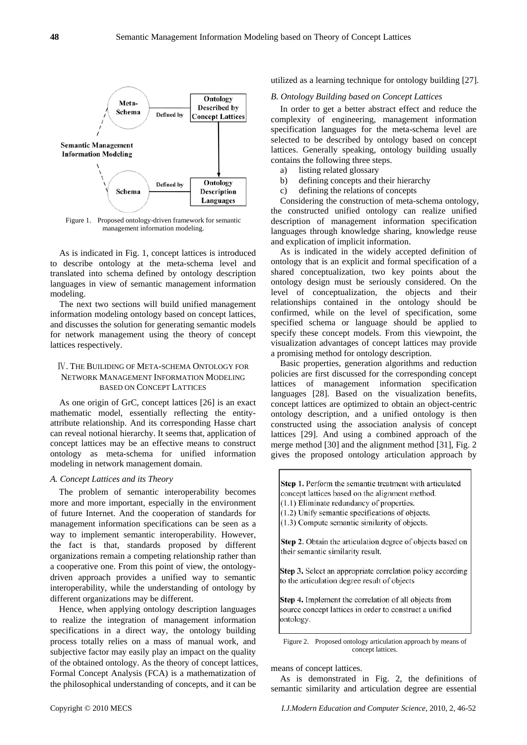

Figure 1. Proposed ontology-driven framework for semantic management information modeling.

As is indicated in Fig. 1, concept lattices is introduced to describe ontology at the meta-schema level and translated into schema defined by ontology description languages in view of semantic management information modeling.

The next two sections will build unified management information modeling ontology based on concept lattices, and discusses the solution for generating semantic models for network management using the theory of concept lattices respectively.

### Ⅳ. THE BUILIDING OF META-SCHEMA ONTOLOGY FOR NETWORK MANAGEMENT INFORMATION MODELING BASED ON CONCEPT LATTICES

As one origin of GrC, concept lattices [26] is an exact mathematic model, essentially reflecting the entityattribute relationship. And its corresponding Hasse chart can reveal notional hierarchy. It seems that, application of concept lattices may be an effective means to construct ontology as meta-schema for unified information modeling in network management domain.

## *A. Concept Lattices and its Theory*

The problem of semantic interoperability becomes more and more important, especially in the environment of future Internet. And the cooperation of standards for management information specifications can be seen as a way to implement semantic interoperability. However, the fact is that, standards proposed by different organizations remain a competing relationship rather than a cooperative one. From this point of view, the ontologydriven approach provides a unified way to semantic interoperability, while the understanding of ontology by different organizations may be different.

Hence, when applying ontology description languages to realize the integration of management information specifications in a direct way, the ontology building process totally relies on a mass of manual work, and subjective factor may easily play an impact on the quality of the obtained ontology. As the theory of concept lattices, Formal Concept Analysis (FCA) is a mathematization of the philosophical understanding of concepts, and it can be

utilized as a learning technique for ontology building [27].

#### *B. Ontology Building based on Concept Lattices*

In order to get a better abstract effect and reduce the complexity of engineering, management information specification languages for the meta-schema level are selected to be described by ontology based on concept lattices. Generally speaking, ontology building usually contains the following three steps.

- a) listing related glossary
- b) defining concepts and their hierarchy
- c) defining the relations of concepts

Considering the construction of meta-schema ontology, the constructed unified ontology can realize unified description of management information specification languages through knowledge sharing, knowledge reuse and explication of implicit information.

As is indicated in the widely accepted definition of ontology that is an explicit and formal specification of a shared conceptualization, two key points about the ontology design must be seriously considered. On the level of conceptualization, the objects and their relationships contained in the ontology should be confirmed, while on the level of specification, some specified schema or language should be applied to specify these concept models. From this viewpoint, the visualization advantages of concept lattices may provide a promising method for ontology description.

Basic properties, generation algorithms and reduction policies are first discussed for the corresponding concept lattices of management information specification languages [28]. Based on the visualization benefits, concept lattices are optimized to obtain an object-centric ontology description, and a unified ontology is then constructed using the association analysis of concept lattices [29]. And using a combined approach of the merge method [30] and the alignment method [31], Fig. 2 gives the proposed ontology articulation approach by

Step 1. Perform the semantic treatment with articulated concept lattices based on the alignment method.  $(1.1)$  Eliminate redundancy of properties.

- (1.2) Unify semantic specifications of objects.
- (1.3) Compute semantic similarity of objects.
- 

Step 2. Obtain the articulation degree of objects based on their semantic similarity result.

Step 3. Select an appropriate correlation policy according to the articulation degree result of objects

Step 4. Implement the correlation of all objects from source concept lattices in order to construct a unified ontology.

Figure 2. Proposed ontology articulation approach by means of concept lattices.

means of concept lattices.

As is demonstrated in Fig. 2, the definitions of semantic similarity and articulation degree are essential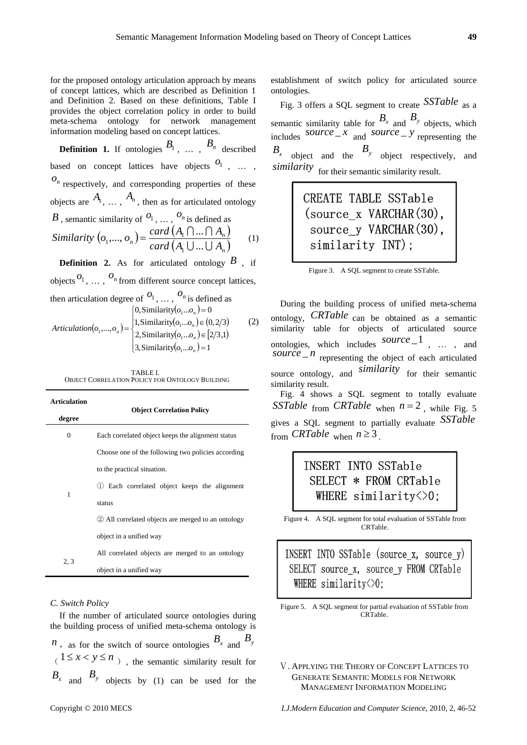for the proposed ontology articulation approach by means of concept lattices, which are described as Definition 1 and Definition 2. Based on these definitions, Table I provides the object correlation policy in order to build meta-schema ontology for network management information modeling based on concept lattices.

**Definition 1.** If ontologies  $B_1$ , ...,  $B_n$  described based on concept lattices have objects  $\begin{bmatrix} 0_1, \ldots, 0_n \end{bmatrix}$  $o_n$  respectively, and corresponding properties of these objects are  $A_1$ , ...,  $A_n$ , then as for articulated ontology *B*, semantic similarity of  $O_1$ ,  $\ldots$ ,  $O_n$  is defined as  $(o_1,..., o_n) = \frac{card (A_1 \cap ... \cap A_n)}{dim (A_1 \cap ... \cap A_n)}$  $\left( A_{\text{l}} \cup ... \cup A_{\text{n}} \right)$  $n$ <sup>*n*</sup>) =  $\frac{card (A_1 \cup ... \cup A_n)}{card (A_1 \cup ... \cup A_n)}$ *card*  $(A_1 \cap ... \cap A_n) = \frac{card (A_1 \cap ... \cap A_n)}{dim (A_1 \cap ... \cap A_n)}$  $\cup ...$ U  $[ \ ]... [ \ ]$ ...  $,..., o_n$ ) =  $\frac{card (A_1 \cap ...}{det (A_2 \cap ...)}$ 1  $b_1,..., b_n$  =  $\frac{tan(\lambda_1 + ... + \lambda_n)}{(\lambda_1 + ... + \lambda_n)}$  (1)

**Definition 2.** As for articulated ontology  $B$ , if objects  $O_1$ ,  $\ldots$ ,  $O_n$  from different source concept lattices, then articulation degree of  $^{O_1}$ , ...,  $^{O_n}$  is defined as  $[0, \text{Similarity}(o_1...o_n) = 0$ 

$$
Articulation(o_1, ..., o_n) = \begin{cases} 1, \text{Similarity}(o_1...o_n) \in (0, 2/3) \\ 2, \text{Similarity}(o_1...o_n) \in [2/3, 1) \\ 3, \text{Similarity}(o_1...o_n) = 1 \end{cases}
$$
 (2)

TABLE I. OBJECT CORRELATION POLICY FOR ONTOLOGY BUILDING

| <b>Articulation</b> |                                                      |  |  |
|---------------------|------------------------------------------------------|--|--|
| degree              | <b>Object Correlation Policy</b>                     |  |  |
| $\mathbf{0}$        | Each correlated object keeps the alignment status    |  |  |
| 1                   | Choose one of the following two policies according   |  |  |
|                     | to the practical situation.                          |  |  |
|                     | Each correlated object keeps the alignment           |  |  |
|                     | status                                               |  |  |
|                     | (2) All correlated objects are merged to an ontology |  |  |
|                     | object in a unified way                              |  |  |
| 2, 3                | All correlated objects are merged to an ontology     |  |  |
|                     | object in a unified way                              |  |  |

#### *C. Switch Policy*

If the number of articulated source ontologies during the building process of unified meta-schema ontology is *n*, as for the switch of source ontologies  $B_x$  and  $B_y$  $(1 \le x < y \le n)$ , the semantic similarity result for  $B_x$  and  $B_y$  objects by (1) can be used for the establishment of switch policy for articulated source ontologies.

Fig. 3 offers a SQL segment to create *SSTable* as a semantic similarity table for  $B_x$  and  $B_y$  objects, which includes *source*  $\frac{z}{x}$  and *source*  $\frac{z}{z}$  representing the  $B_x$  object and the  $B_y$  object respectively, and *similarity* for their semantic similarity result.

# CREATE TABLE SSTable (source x VARCHAR(30), source\_y VARCHAR(30), similarity INT);

| Figure 3. A SQL segment to create SSTable. |  |
|--------------------------------------------|--|
|                                            |  |

During the building process of unified meta-schema ontology, *CRTable* can be obtained as a semantic similarity table for objects of articulated source ontologies, which includes *source* \_1 , … , and  $source\_n$  representing the object of each articulated source ontology, and *similarity* for their semantic similarity result.

Fig. 4 shows a SQL segment to totally evaluate *SSTable* from *CRTable* when  $n = 2$ , while Fig. 5 gives a SQL segment to partially evaluate *SSTable* from *CRTable* when  $n \geq 3$ .

## INSERT INTO SSTable SELECT \* FROM CRTable WHERE  $\sinilarity \leq 0$ :

Figure 4. A SQL segment for total evaluation of SSTable from CRTable.

INSERT INTO SSTable (source x, source y) SELECT source x, source y FROM CRTable WHERE similarity $\Diamond$ 0;

Figure 5. A SQL segment for partial evaluation of SSTable from CRTable.

Ⅴ. APPLYING THE THEORY OF CONCEPT LATTICES TO GENERATE SEMANTIC MODELS FOR NETWORK MANAGEMENT INFORMATION MODELING

Copyright © 2010 MECS *I.J.Modern Education and Computer Science,* 2010, 2, 46-52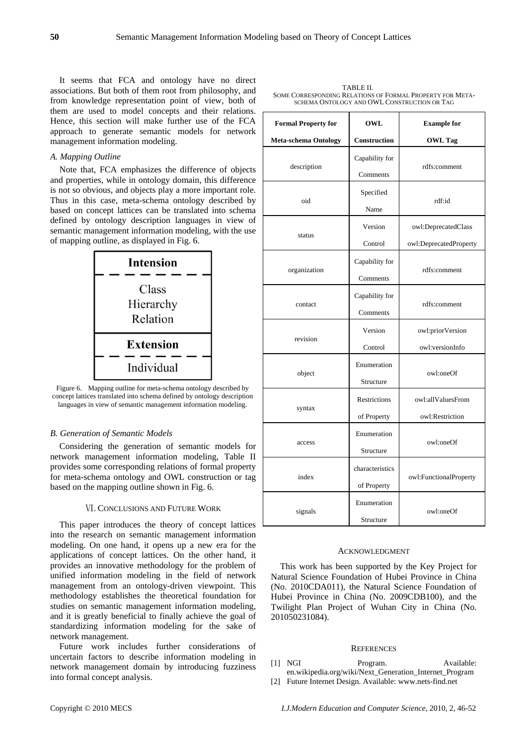It seems that FCA and ontology have no direct associations. But both of them root from philosophy, and from knowledge representation point of view, both of them are used to model concepts and their relations. Hence, this section will make further use of the FCA approach to generate semantic models for network management information modeling.

#### *A. Mapping Outline*

Note that, FCA emphasizes the difference of objects and properties, while in ontology domain, this difference is not so obvious, and objects play a more important role. Thus in this case, meta-schema ontology described by based on concept lattices can be translated into schema defined by ontology description languages in view of semantic management information modeling, with the use of mapping outline, as displayed in Fig. 6.



Figure 6. Mapping outline for meta-schema ontology described by concept lattices translated into schema defined by ontology description languages in view of semantic management information modeling.

#### *B. Generation of Semantic Models*

Considering the generation of semantic models for network management information modeling, Table II provides some corresponding relations of formal property for meta-schema ontology and OWL construction or tag based on the mapping outline shown in Fig. 6.

#### Ⅵ. CONCLUSIONS AND FUTURE WORK

This paper introduces the theory of concept lattices into the research on semantic management information modeling. On one hand, it opens up a new era for the applications of concept lattices. On the other hand, it provides an innovative methodology for the problem of unified information modeling in the field of network management from an ontology-driven viewpoint. This methodology establishes the theoretical foundation for studies on semantic management information modeling, and it is greatly beneficial to finally achieve the goal of standardizing information modeling for the sake of network management.

Future work includes further considerations of uncertain factors to describe information modeling in network management domain by introducing fuzziness into formal concept analysis.

| <b>Formal Property for</b>  | OWL                            | <b>Example for</b>                            |
|-----------------------------|--------------------------------|-----------------------------------------------|
| <b>Meta-schema Ontology</b> | Construction                   | <b>OWL Tag</b>                                |
| description                 | Capability for<br>Comments     | rdfs:comment                                  |
| oid                         | Specified<br>Name              | rdf:id                                        |
| status                      | Version<br>Control             | owl:DeprecatedClass<br>owl:DeprecatedProperty |
| organization                | Capability for<br>Comments     | rdfs:comment                                  |
| contact                     | Capability for<br>Comments     | rdfs:comment                                  |
| revision                    | Version<br>Control             | owl:priorVersion<br>owl:versionInfo           |
| object                      | Enumeration<br>Structure       | owl:oneOf                                     |
| syntax                      | Restrictions<br>of Property    | owl:allValuesFrom<br>owl:Restriction          |
| access                      | Enumeration<br>Structure       | owl:oneOf                                     |
| index                       | characteristics<br>of Property | owl:FunctionalProperty                        |
| signals                     | Enumeration<br>Structure       | owl:oneOf                                     |

#### ACKNOWLEDGMENT

This work has been supported by the Key Project for Natural Science Foundation of Hubei Province in China (No. 2010CDA011), the Natural Science Foundation of Hubei Province in China (No. 2009CDB100), and the Twilight Plan Project of Wuhan City in China (No. 201050231084).

#### **REFERENCES**

- [1] NGI Program. Available: en.wikipedia.org/wiki/Next\_Generation\_Internet\_Program
- [2] Future Internet Design. Available: www.nets-find.net

| TABLE II.                                                 |
|-----------------------------------------------------------|
| SOME CORRESPONDING RELATIONS OF FORMAL PROPERTY FOR META- |
| SCHEMA ONTOLOGY AND OWL CONSTRUCTION OR TAG               |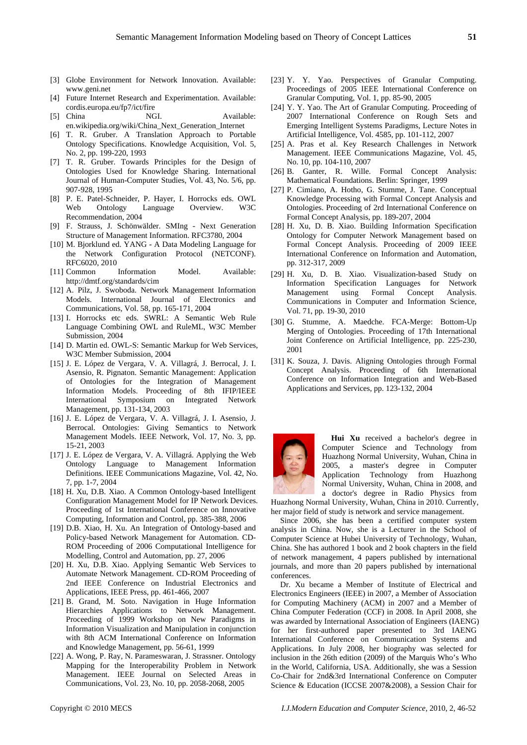- [3] Globe Environment for Network Innovation. Available: www.geni.net
- [4] Future Internet Research and Experimentation. Available: cordis.europa.eu/fp7/ict/fire
- [5] China NGI. Available: en.wikipedia.org/wiki/China\_Next\_Generation\_Internet
- [6] T. R. Gruber. A Translation Approach to Portable Ontology Specifications. Knowledge Acquisition, Vol. 5, No. 2, pp. 199-220, 1993
- [7] T. R. Gruber. Towards Principles for the Design of Ontologies Used for Knowledge Sharing. International Journal of Human-Computer Studies, Vol. 43, No. 5/6, pp. 907-928, 1995
- [8] P. E. Patel-Schneider, P. Hayer, I. Horrocks eds. OWL Web Ontology Language Overview. W3C Recommendation, 2004
- [9] F. Strauss, J. Schönwälder. SMIng Next Generation Structure of Management Information. RFC3780, 2004
- [10] M. Bjorklund ed. YANG A Data Modeling Language for the Network Configuration Protocol (NETCONF). RFC6020, 2010
- [11] Common Information Model. Available: http://dmtf.org/standards/cim
- [12] A. Pilz, J. Swoboda. Network Management Information Models. International Journal of Electronics and Communications, Vol. 58, pp. 165-171, 2004
- [13] I. Horrocks etc eds. SWRL: A Semantic Web Rule Language Combining OWL and RuleML, W3C Member Submission, 2004
- [14] D. Martin ed. OWL-S: Semantic Markup for Web Services, W3C Member Submission, 2004
- [15] J. E. López de Vergara, V. A. Villagrá, J. Berrocal, J. I. Asensio, R. Pignaton. Semantic Management: Application of Ontologies for the Integration of Management Information Models. Proceeding of 8th IFIP/IEEE International Symposium on Integrated Network Management, pp. 131-134, 2003
- [16] J. E. López de Vergara, V. A. Villagrá, J. I. Asensio, J. Berrocal. Ontologies: Giving Semantics to Network Management Models. IEEE Network, Vol. 17, No. 3, pp. 15-21, 2003
- [17] J. E. López de Vergara, V. A. Villagrá. Applying the Web Ontology Language to Management Information Definitions. IEEE Communications Magazine, Vol. 42, No. 7, pp. 1-7, 2004
- [18] H. Xu, D.B. Xiao. A Common Ontology-based Intelligent Configuration Management Model for IP Network Devices. Proceeding of 1st International Conference on Innovative Computing, Information and Control, pp. 385-388, 2006
- [19] D.B. Xiao, H. Xu. An Integration of Ontology-based and Policy-based Network Management for Automation. CD-ROM Proceeding of 2006 Computational Intelligence for Modelling, Control and Automation, pp. 27, 2006
- [20] H. Xu, D.B. Xiao. Applying Semantic Web Services to Automate Network Management. CD-ROM Proceeding of 2nd IEEE Conference on Industrial Electronics and Applications, IEEE Press, pp. 461-466, 2007
- [21] B. Grand, M. Soto. Navigation in Huge Information Hierarchies Applications to Network Management. Proceeding of 1999 Workshop on New Paradigms in Information Visualization and Manipulation in conjunction with 8th ACM International Conference on Information and Knowledge Management, pp. 56-61, 1999
- [22] A. Wong, P. Ray, N. Parameswaran, J. Strassner. Ontology Mapping for the Interoperability Problem in Network Management. IEEE Journal on Selected Areas in Communications, Vol. 23, No. 10, pp. 2058-2068, 2005
	-
- [23] Y. Y. Yao. Perspectives of Granular Computing. Proceedings of 2005 IEEE International Conference on Granular Computing, Vol. 1, pp. 85-90, 2005
- [24] Y. Y. Yao. The Art of Granular Computing. Proceeding of 2007 International Conference on Rough Sets and Emerging Intelligent Systems Paradigms, Lecture Notes in Artificial Intelligence, Vol. 4585, pp. 101-112, 2007
- [25] A. Pras et al. Key Research Challenges in Network Management. IEEE Communications Magazine, Vol. 45, No. 10, pp. 104-110, 2007
- [26] B. Ganter, R. Wille. Formal Concept Analysis: Mathematical Foundations. Berlin: Springer, 1999
- [27] P. Cimiano, A. Hotho, G. Stumme, J. Tane. Conceptual Knowledge Processing with Formal Concept Analysis and Ontologies. Proceeding of 2rd International Conference on Formal Concept Analysis, pp. 189-207, 2004
- [28] H. Xu, D. B. Xiao. Building Information Specification Ontology for Computer Network Management based on Formal Concept Analysis. Proceeding of 2009 IEEE International Conference on Information and Automation, pp. 312-317, 2009
- [29] H. Xu, D. B. Xiao. Visualization-based Study on Information Specification Languages for Network Management using Formal Concept Analysis. Communications in Computer and Information Science, Vol. 71, pp. 19-30, 2010
- [30] G. Stumme, A. Maedche. FCA-Merge: Bottom-Up Merging of Ontologies. Proceeding of 17th International Joint Conference on Artificial Intelligence, pp. 225-230, 2001
- [31] K. Souza, J. Davis. Aligning Ontologies through Formal Concept Analysis. Proceeding of 6th International Conference on Information Integration and Web-Based Applications and Services, pp. 123-132, 2004



**Hui Xu** received a bachelor's degree in Computer Science and Technology from Huazhong Normal University, Wuhan, China in 2005, a master's degree in Computer Application Technology from Huazhong Normal University, Wuhan, China in 2008, and a doctor's degree in Radio Physics from

Huazhong Normal University, Wuhan, China in 2010. Currently, her major field of study is network and service management.

Since 2006, she has been a certified computer system analysis in China. Now, she is a Lecturer in the School of Computer Science at Hubei University of Technology, Wuhan, China. She has authored 1 book and 2 book chapters in the field of network management, 4 papers published by international journals, and more than 20 papers published by international conferences.

Dr. Xu became a Member of Institute of Electrical and Electronics Engineers (IEEE) in 2007, a Member of Association for Computing Machinery (ACM) in 2007 and a Member of China Computer Federation (CCF) in 2008. In April 2008, she was awarded by International Association of Engineers (IAENG) for her first-authored paper presented to 3rd IAENG International Conference on Communication Systems and Applications. In July 2008, her biography was selected for inclusion in the 26th edition (2009) of the Marquis Who's Who in the World, California, USA. Additionally, she was a Session Co-Chair for 2nd&3rd International Conference on Computer Science & Education (ICCSE 2007&2008), a Session Chair for